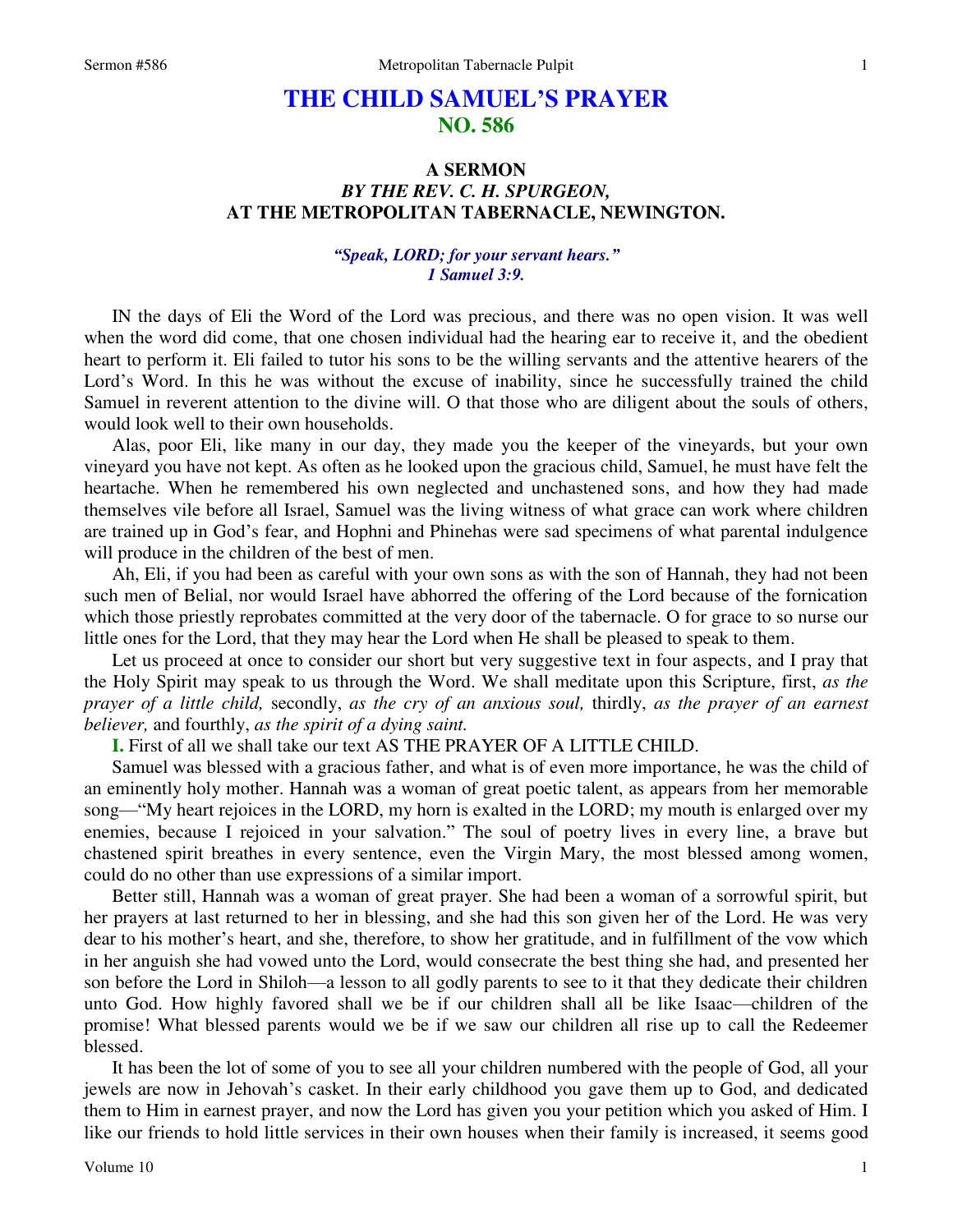# **THE CHILD SAMUEL'S PRAYER NO. 586**

# **A SERMON**  *BY THE REV. C. H. SPURGEON,*  **AT THE METROPOLITAN TABERNACLE, NEWINGTON.**

## *"Speak, LORD; for your servant hears." 1 Samuel 3:9.*

IN the days of Eli the Word of the Lord was precious, and there was no open vision. It was well when the word did come, that one chosen individual had the hearing ear to receive it, and the obedient heart to perform it. Eli failed to tutor his sons to be the willing servants and the attentive hearers of the Lord's Word. In this he was without the excuse of inability, since he successfully trained the child Samuel in reverent attention to the divine will. O that those who are diligent about the souls of others, would look well to their own households.

Alas, poor Eli, like many in our day, they made you the keeper of the vineyards, but your own vineyard you have not kept. As often as he looked upon the gracious child, Samuel, he must have felt the heartache. When he remembered his own neglected and unchastened sons, and how they had made themselves vile before all Israel, Samuel was the living witness of what grace can work where children are trained up in God's fear, and Hophni and Phinehas were sad specimens of what parental indulgence will produce in the children of the best of men.

Ah, Eli, if you had been as careful with your own sons as with the son of Hannah, they had not been such men of Belial, nor would Israel have abhorred the offering of the Lord because of the fornication which those priestly reprobates committed at the very door of the tabernacle. O for grace to so nurse our little ones for the Lord, that they may hear the Lord when He shall be pleased to speak to them.

Let us proceed at once to consider our short but very suggestive text in four aspects, and I pray that the Holy Spirit may speak to us through the Word. We shall meditate upon this Scripture, first, *as the prayer of a little child,* secondly, *as the cry of an anxious soul,* thirdly, *as the prayer of an earnest believer,* and fourthly, *as the spirit of a dying saint.* 

**I.** First of all we shall take our text AS THE PRAYER OF A LITTLE CHILD.

Samuel was blessed with a gracious father, and what is of even more importance, he was the child of an eminently holy mother. Hannah was a woman of great poetic talent, as appears from her memorable song—"My heart rejoices in the LORD, my horn is exalted in the LORD; my mouth is enlarged over my enemies, because I rejoiced in your salvation." The soul of poetry lives in every line, a brave but chastened spirit breathes in every sentence, even the Virgin Mary, the most blessed among women, could do no other than use expressions of a similar import.

Better still, Hannah was a woman of great prayer. She had been a woman of a sorrowful spirit, but her prayers at last returned to her in blessing, and she had this son given her of the Lord. He was very dear to his mother's heart, and she, therefore, to show her gratitude, and in fulfillment of the vow which in her anguish she had vowed unto the Lord, would consecrate the best thing she had, and presented her son before the Lord in Shiloh—a lesson to all godly parents to see to it that they dedicate their children unto God. How highly favored shall we be if our children shall all be like Isaac—children of the promise! What blessed parents would we be if we saw our children all rise up to call the Redeemer blessed.

It has been the lot of some of you to see all your children numbered with the people of God, all your jewels are now in Jehovah's casket. In their early childhood you gave them up to God, and dedicated them to Him in earnest prayer, and now the Lord has given you your petition which you asked of Him. I like our friends to hold little services in their own houses when their family is increased, it seems good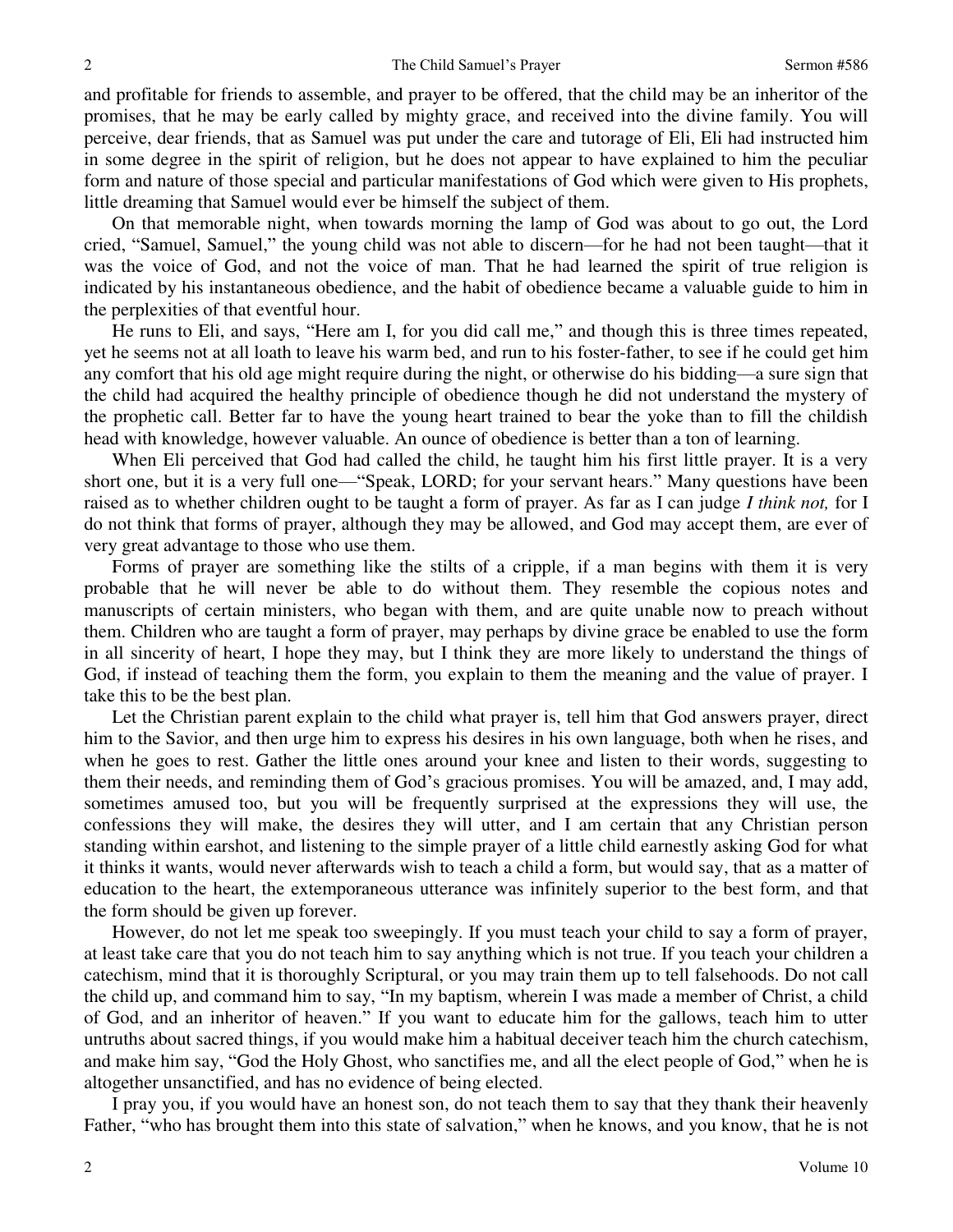and profitable for friends to assemble, and prayer to be offered, that the child may be an inheritor of the promises, that he may be early called by mighty grace, and received into the divine family. You will perceive, dear friends, that as Samuel was put under the care and tutorage of Eli, Eli had instructed him in some degree in the spirit of religion, but he does not appear to have explained to him the peculiar form and nature of those special and particular manifestations of God which were given to His prophets, little dreaming that Samuel would ever be himself the subject of them.

On that memorable night, when towards morning the lamp of God was about to go out, the Lord cried, "Samuel, Samuel," the young child was not able to discern—for he had not been taught—that it was the voice of God, and not the voice of man. That he had learned the spirit of true religion is indicated by his instantaneous obedience, and the habit of obedience became a valuable guide to him in the perplexities of that eventful hour.

He runs to Eli, and says, "Here am I, for you did call me," and though this is three times repeated, yet he seems not at all loath to leave his warm bed, and run to his foster-father, to see if he could get him any comfort that his old age might require during the night, or otherwise do his bidding—a sure sign that the child had acquired the healthy principle of obedience though he did not understand the mystery of the prophetic call. Better far to have the young heart trained to bear the yoke than to fill the childish head with knowledge, however valuable. An ounce of obedience is better than a ton of learning.

When Eli perceived that God had called the child, he taught him his first little prayer. It is a very short one, but it is a very full one—"Speak, LORD; for your servant hears." Many questions have been raised as to whether children ought to be taught a form of prayer. As far as I can judge *I think not,* for I do not think that forms of prayer, although they may be allowed, and God may accept them, are ever of very great advantage to those who use them.

Forms of prayer are something like the stilts of a cripple, if a man begins with them it is very probable that he will never be able to do without them. They resemble the copious notes and manuscripts of certain ministers, who began with them, and are quite unable now to preach without them. Children who are taught a form of prayer, may perhaps by divine grace be enabled to use the form in all sincerity of heart, I hope they may, but I think they are more likely to understand the things of God, if instead of teaching them the form, you explain to them the meaning and the value of prayer. I take this to be the best plan.

Let the Christian parent explain to the child what prayer is, tell him that God answers prayer, direct him to the Savior, and then urge him to express his desires in his own language, both when he rises, and when he goes to rest. Gather the little ones around your knee and listen to their words, suggesting to them their needs, and reminding them of God's gracious promises. You will be amazed, and, I may add, sometimes amused too, but you will be frequently surprised at the expressions they will use, the confessions they will make, the desires they will utter, and I am certain that any Christian person standing within earshot, and listening to the simple prayer of a little child earnestly asking God for what it thinks it wants, would never afterwards wish to teach a child a form, but would say, that as a matter of education to the heart, the extemporaneous utterance was infinitely superior to the best form, and that the form should be given up forever.

However, do not let me speak too sweepingly. If you must teach your child to say a form of prayer, at least take care that you do not teach him to say anything which is not true. If you teach your children a catechism, mind that it is thoroughly Scriptural, or you may train them up to tell falsehoods. Do not call the child up, and command him to say, "In my baptism, wherein I was made a member of Christ, a child of God, and an inheritor of heaven." If you want to educate him for the gallows, teach him to utter untruths about sacred things, if you would make him a habitual deceiver teach him the church catechism, and make him say, "God the Holy Ghost, who sanctifies me, and all the elect people of God," when he is altogether unsanctified, and has no evidence of being elected.

I pray you, if you would have an honest son, do not teach them to say that they thank their heavenly Father, "who has brought them into this state of salvation," when he knows, and you know, that he is not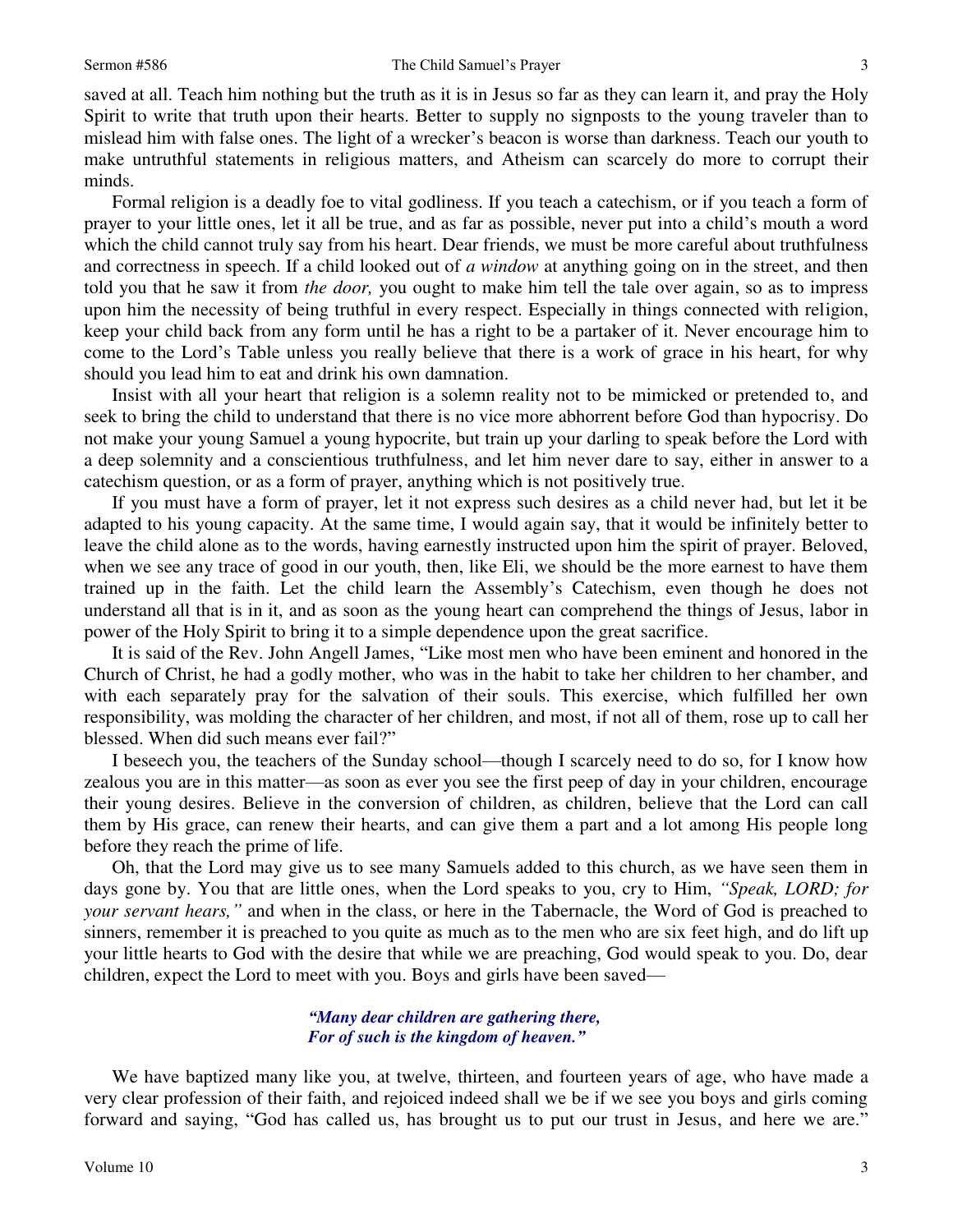saved at all. Teach him nothing but the truth as it is in Jesus so far as they can learn it, and pray the Holy Spirit to write that truth upon their hearts. Better to supply no signposts to the young traveler than to mislead him with false ones. The light of a wrecker's beacon is worse than darkness. Teach our youth to make untruthful statements in religious matters, and Atheism can scarcely do more to corrupt their minds.

Formal religion is a deadly foe to vital godliness. If you teach a catechism, or if you teach a form of prayer to your little ones, let it all be true, and as far as possible, never put into a child's mouth a word which the child cannot truly say from his heart. Dear friends, we must be more careful about truthfulness and correctness in speech. If a child looked out of *a window* at anything going on in the street, and then told you that he saw it from *the door,* you ought to make him tell the tale over again, so as to impress upon him the necessity of being truthful in every respect. Especially in things connected with religion, keep your child back from any form until he has a right to be a partaker of it. Never encourage him to come to the Lord's Table unless you really believe that there is a work of grace in his heart, for why should you lead him to eat and drink his own damnation.

Insist with all your heart that religion is a solemn reality not to be mimicked or pretended to, and seek to bring the child to understand that there is no vice more abhorrent before God than hypocrisy. Do not make your young Samuel a young hypocrite, but train up your darling to speak before the Lord with a deep solemnity and a conscientious truthfulness, and let him never dare to say, either in answer to a catechism question, or as a form of prayer, anything which is not positively true.

If you must have a form of prayer, let it not express such desires as a child never had, but let it be adapted to his young capacity. At the same time, I would again say, that it would be infinitely better to leave the child alone as to the words, having earnestly instructed upon him the spirit of prayer. Beloved, when we see any trace of good in our youth, then, like Eli, we should be the more earnest to have them trained up in the faith. Let the child learn the Assembly's Catechism, even though he does not understand all that is in it, and as soon as the young heart can comprehend the things of Jesus, labor in power of the Holy Spirit to bring it to a simple dependence upon the great sacrifice.

It is said of the Rev. John Angell James, "Like most men who have been eminent and honored in the Church of Christ, he had a godly mother, who was in the habit to take her children to her chamber, and with each separately pray for the salvation of their souls. This exercise, which fulfilled her own responsibility, was molding the character of her children, and most, if not all of them, rose up to call her blessed. When did such means ever fail?"

I beseech you, the teachers of the Sunday school—though I scarcely need to do so, for I know how zealous you are in this matter—as soon as ever you see the first peep of day in your children, encourage their young desires. Believe in the conversion of children, as children, believe that the Lord can call them by His grace, can renew their hearts, and can give them a part and a lot among His people long before they reach the prime of life.

Oh, that the Lord may give us to see many Samuels added to this church, as we have seen them in days gone by. You that are little ones, when the Lord speaks to you, cry to Him, *"Speak, LORD; for your servant hears,"* and when in the class, or here in the Tabernacle, the Word of God is preached to sinners, remember it is preached to you quite as much as to the men who are six feet high, and do lift up your little hearts to God with the desire that while we are preaching, God would speak to you. Do, dear children, expect the Lord to meet with you. Boys and girls have been saved—

### *"Many dear children are gathering there, For of such is the kingdom of heaven."*

We have baptized many like you, at twelve, thirteen, and fourteen years of age, who have made a very clear profession of their faith, and rejoiced indeed shall we be if we see you boys and girls coming forward and saying, "God has called us, has brought us to put our trust in Jesus, and here we are."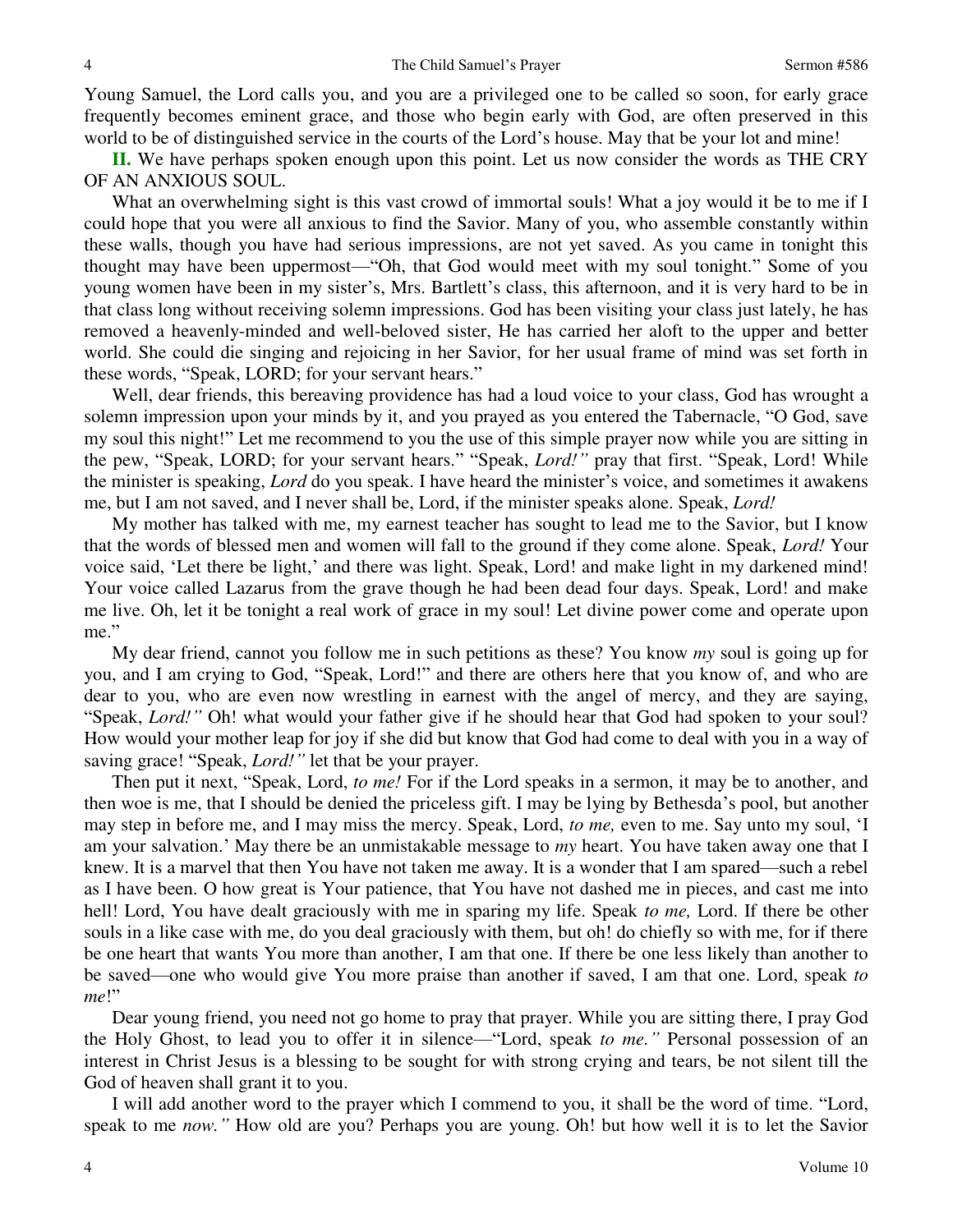Young Samuel, the Lord calls you, and you are a privileged one to be called so soon, for early grace frequently becomes eminent grace, and those who begin early with God, are often preserved in this world to be of distinguished service in the courts of the Lord's house. May that be your lot and mine!

**II.** We have perhaps spoken enough upon this point. Let us now consider the words as THE CRY OF AN ANXIOUS SOUL.

What an overwhelming sight is this vast crowd of immortal souls! What a joy would it be to me if I could hope that you were all anxious to find the Savior. Many of you, who assemble constantly within these walls, though you have had serious impressions, are not yet saved. As you came in tonight this thought may have been uppermost—"Oh, that God would meet with my soul tonight." Some of you young women have been in my sister's, Mrs. Bartlett's class, this afternoon, and it is very hard to be in that class long without receiving solemn impressions. God has been visiting your class just lately, he has removed a heavenly-minded and well-beloved sister, He has carried her aloft to the upper and better world. She could die singing and rejoicing in her Savior, for her usual frame of mind was set forth in these words, "Speak, LORD; for your servant hears."

Well, dear friends, this bereaving providence has had a loud voice to your class, God has wrought a solemn impression upon your minds by it, and you prayed as you entered the Tabernacle, "O God, save my soul this night!" Let me recommend to you the use of this simple prayer now while you are sitting in the pew, "Speak, LORD; for your servant hears." "Speak, *Lord!"* pray that first. "Speak, Lord! While the minister is speaking, *Lord* do you speak. I have heard the minister's voice, and sometimes it awakens me, but I am not saved, and I never shall be, Lord, if the minister speaks alone. Speak, *Lord!*

My mother has talked with me, my earnest teacher has sought to lead me to the Savior, but I know that the words of blessed men and women will fall to the ground if they come alone. Speak, *Lord!* Your voice said, 'Let there be light,' and there was light. Speak, Lord! and make light in my darkened mind! Your voice called Lazarus from the grave though he had been dead four days. Speak, Lord! and make me live. Oh, let it be tonight a real work of grace in my soul! Let divine power come and operate upon me."

My dear friend, cannot you follow me in such petitions as these? You know *my* soul is going up for you, and I am crying to God, "Speak, Lord!" and there are others here that you know of, and who are dear to you, who are even now wrestling in earnest with the angel of mercy, and they are saying, "Speak, *Lord!"* Oh! what would your father give if he should hear that God had spoken to your soul? How would your mother leap for joy if she did but know that God had come to deal with you in a way of saving grace! "Speak, *Lord!"* let that be your prayer.

Then put it next, "Speak, Lord, *to me!* For if the Lord speaks in a sermon, it may be to another, and then woe is me, that I should be denied the priceless gift. I may be lying by Bethesda's pool, but another may step in before me, and I may miss the mercy. Speak, Lord, *to me,* even to me. Say unto my soul, 'I am your salvation.' May there be an unmistakable message to *my* heart. You have taken away one that I knew. It is a marvel that then You have not taken me away. It is a wonder that I am spared—such a rebel as I have been. O how great is Your patience, that You have not dashed me in pieces, and cast me into hell! Lord, You have dealt graciously with me in sparing my life. Speak *to me,* Lord. If there be other souls in a like case with me, do you deal graciously with them, but oh! do chiefly so with me, for if there be one heart that wants You more than another, I am that one. If there be one less likely than another to be saved—one who would give You more praise than another if saved, I am that one. Lord, speak *to me*!"

Dear young friend, you need not go home to pray that prayer. While you are sitting there, I pray God the Holy Ghost, to lead you to offer it in silence—"Lord, speak *to me."* Personal possession of an interest in Christ Jesus is a blessing to be sought for with strong crying and tears, be not silent till the God of heaven shall grant it to you.

I will add another word to the prayer which I commend to you, it shall be the word of time. "Lord, speak to me *now."* How old are you? Perhaps you are young. Oh! but how well it is to let the Savior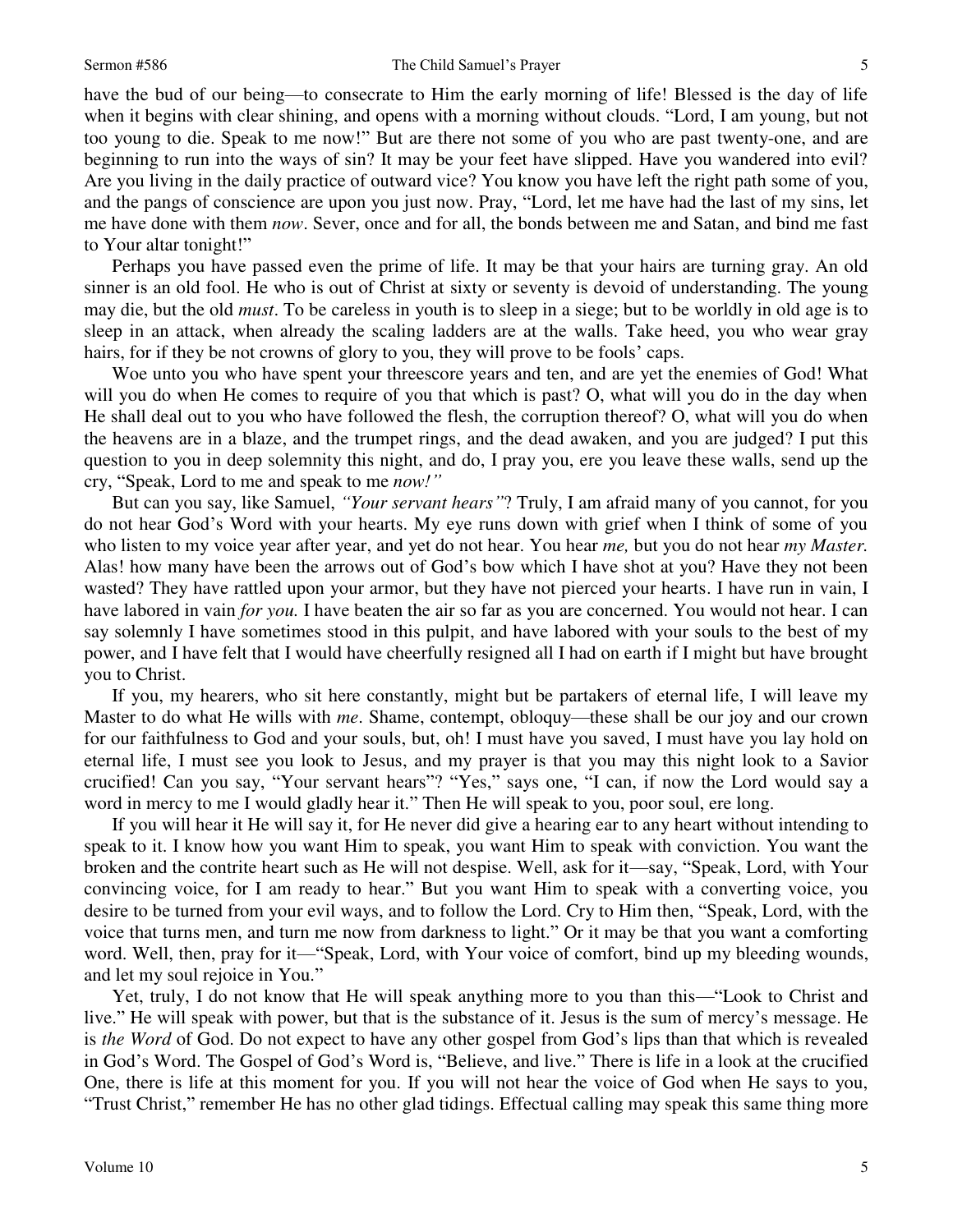### Sermon #586 The Child Samuel's Prayer

have the bud of our being—to consecrate to Him the early morning of life! Blessed is the day of life when it begins with clear shining, and opens with a morning without clouds. "Lord, I am young, but not too young to die. Speak to me now!" But are there not some of you who are past twenty-one, and are beginning to run into the ways of sin? It may be your feet have slipped. Have you wandered into evil? Are you living in the daily practice of outward vice? You know you have left the right path some of you, and the pangs of conscience are upon you just now. Pray, "Lord, let me have had the last of my sins, let me have done with them *now*. Sever, once and for all, the bonds between me and Satan, and bind me fast to Your altar tonight!"

Perhaps you have passed even the prime of life. It may be that your hairs are turning gray. An old sinner is an old fool. He who is out of Christ at sixty or seventy is devoid of understanding. The young may die, but the old *must*. To be careless in youth is to sleep in a siege; but to be worldly in old age is to sleep in an attack, when already the scaling ladders are at the walls. Take heed, you who wear gray hairs, for if they be not crowns of glory to you, they will prove to be fools' caps.

Woe unto you who have spent your threescore years and ten, and are yet the enemies of God! What will you do when He comes to require of you that which is past? O, what will you do in the day when He shall deal out to you who have followed the flesh, the corruption thereof? O, what will you do when the heavens are in a blaze, and the trumpet rings, and the dead awaken, and you are judged? I put this question to you in deep solemnity this night, and do, I pray you, ere you leave these walls, send up the cry, "Speak, Lord to me and speak to me *now!"* 

But can you say, like Samuel, *"Your servant hears"*? Truly, I am afraid many of you cannot, for you do not hear God's Word with your hearts. My eye runs down with grief when I think of some of you who listen to my voice year after year, and yet do not hear. You hear *me,* but you do not hear *my Master.* Alas! how many have been the arrows out of God's bow which I have shot at you? Have they not been wasted? They have rattled upon your armor, but they have not pierced your hearts. I have run in vain, I have labored in vain *for you.* I have beaten the air so far as you are concerned. You would not hear. I can say solemnly I have sometimes stood in this pulpit, and have labored with your souls to the best of my power, and I have felt that I would have cheerfully resigned all I had on earth if I might but have brought you to Christ.

If you, my hearers, who sit here constantly, might but be partakers of eternal life, I will leave my Master to do what He wills with *me*. Shame, contempt, obloquy—these shall be our joy and our crown for our faithfulness to God and your souls, but, oh! I must have you saved, I must have you lay hold on eternal life, I must see you look to Jesus, and my prayer is that you may this night look to a Savior crucified! Can you say, "Your servant hears"? "Yes," says one, "I can, if now the Lord would say a word in mercy to me I would gladly hear it." Then He will speak to you, poor soul, ere long.

If you will hear it He will say it, for He never did give a hearing ear to any heart without intending to speak to it. I know how you want Him to speak, you want Him to speak with conviction. You want the broken and the contrite heart such as He will not despise. Well, ask for it—say, "Speak, Lord, with Your convincing voice, for I am ready to hear." But you want Him to speak with a converting voice, you desire to be turned from your evil ways, and to follow the Lord. Cry to Him then, "Speak, Lord, with the voice that turns men, and turn me now from darkness to light." Or it may be that you want a comforting word. Well, then, pray for it—"Speak, Lord, with Your voice of comfort, bind up my bleeding wounds, and let my soul rejoice in You."

Yet, truly, I do not know that He will speak anything more to you than this—"Look to Christ and live." He will speak with power, but that is the substance of it. Jesus is the sum of mercy's message. He is *the Word* of God. Do not expect to have any other gospel from God's lips than that which is revealed in God's Word. The Gospel of God's Word is, "Believe, and live." There is life in a look at the crucified One, there is life at this moment for you. If you will not hear the voice of God when He says to you, "Trust Christ," remember He has no other glad tidings. Effectual calling may speak this same thing more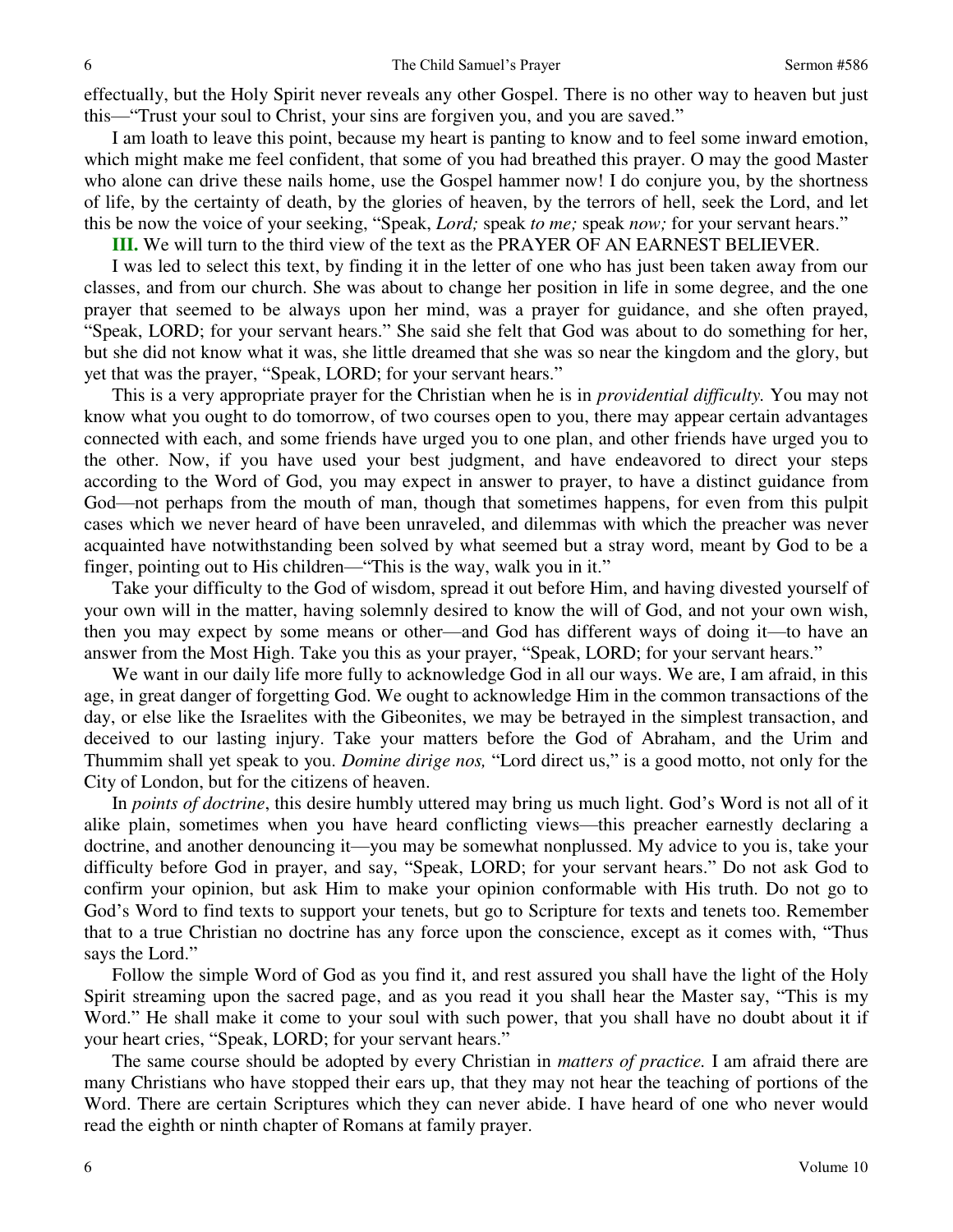effectually, but the Holy Spirit never reveals any other Gospel. There is no other way to heaven but just this—"Trust your soul to Christ, your sins are forgiven you, and you are saved."

I am loath to leave this point, because my heart is panting to know and to feel some inward emotion, which might make me feel confident, that some of you had breathed this prayer. O may the good Master who alone can drive these nails home, use the Gospel hammer now! I do conjure you, by the shortness of life, by the certainty of death, by the glories of heaven, by the terrors of hell, seek the Lord, and let this be now the voice of your seeking, "Speak, *Lord;* speak *to me;* speak *now;* for your servant hears."

**III.** We will turn to the third view of the text as the PRAYER OF AN EARNEST BELIEVER.

I was led to select this text, by finding it in the letter of one who has just been taken away from our classes, and from our church. She was about to change her position in life in some degree, and the one prayer that seemed to be always upon her mind, was a prayer for guidance, and she often prayed, "Speak, LORD; for your servant hears." She said she felt that God was about to do something for her, but she did not know what it was, she little dreamed that she was so near the kingdom and the glory, but yet that was the prayer, "Speak, LORD; for your servant hears."

This is a very appropriate prayer for the Christian when he is in *providential difficulty.* You may not know what you ought to do tomorrow, of two courses open to you, there may appear certain advantages connected with each, and some friends have urged you to one plan, and other friends have urged you to the other. Now, if you have used your best judgment, and have endeavored to direct your steps according to the Word of God, you may expect in answer to prayer, to have a distinct guidance from God—not perhaps from the mouth of man, though that sometimes happens, for even from this pulpit cases which we never heard of have been unraveled, and dilemmas with which the preacher was never acquainted have notwithstanding been solved by what seemed but a stray word, meant by God to be a finger, pointing out to His children—"This is the way, walk you in it."

Take your difficulty to the God of wisdom, spread it out before Him, and having divested yourself of your own will in the matter, having solemnly desired to know the will of God, and not your own wish, then you may expect by some means or other—and God has different ways of doing it—to have an answer from the Most High. Take you this as your prayer, "Speak, LORD; for your servant hears."

We want in our daily life more fully to acknowledge God in all our ways. We are, I am afraid, in this age, in great danger of forgetting God. We ought to acknowledge Him in the common transactions of the day, or else like the Israelites with the Gibeonites, we may be betrayed in the simplest transaction, and deceived to our lasting injury. Take your matters before the God of Abraham, and the Urim and Thummim shall yet speak to you. *Domine dirige nos,* "Lord direct us," is a good motto, not only for the City of London, but for the citizens of heaven.

In *points of doctrine*, this desire humbly uttered may bring us much light. God's Word is not all of it alike plain, sometimes when you have heard conflicting views—this preacher earnestly declaring a doctrine, and another denouncing it—you may be somewhat nonplussed. My advice to you is, take your difficulty before God in prayer, and say, "Speak, LORD; for your servant hears." Do not ask God to confirm your opinion, but ask Him to make your opinion conformable with His truth. Do not go to God's Word to find texts to support your tenets, but go to Scripture for texts and tenets too. Remember that to a true Christian no doctrine has any force upon the conscience, except as it comes with, "Thus says the Lord."

Follow the simple Word of God as you find it, and rest assured you shall have the light of the Holy Spirit streaming upon the sacred page, and as you read it you shall hear the Master say, "This is my Word." He shall make it come to your soul with such power, that you shall have no doubt about it if your heart cries, "Speak, LORD; for your servant hears."

The same course should be adopted by every Christian in *matters of practice.* I am afraid there are many Christians who have stopped their ears up, that they may not hear the teaching of portions of the Word. There are certain Scriptures which they can never abide. I have heard of one who never would read the eighth or ninth chapter of Romans at family prayer.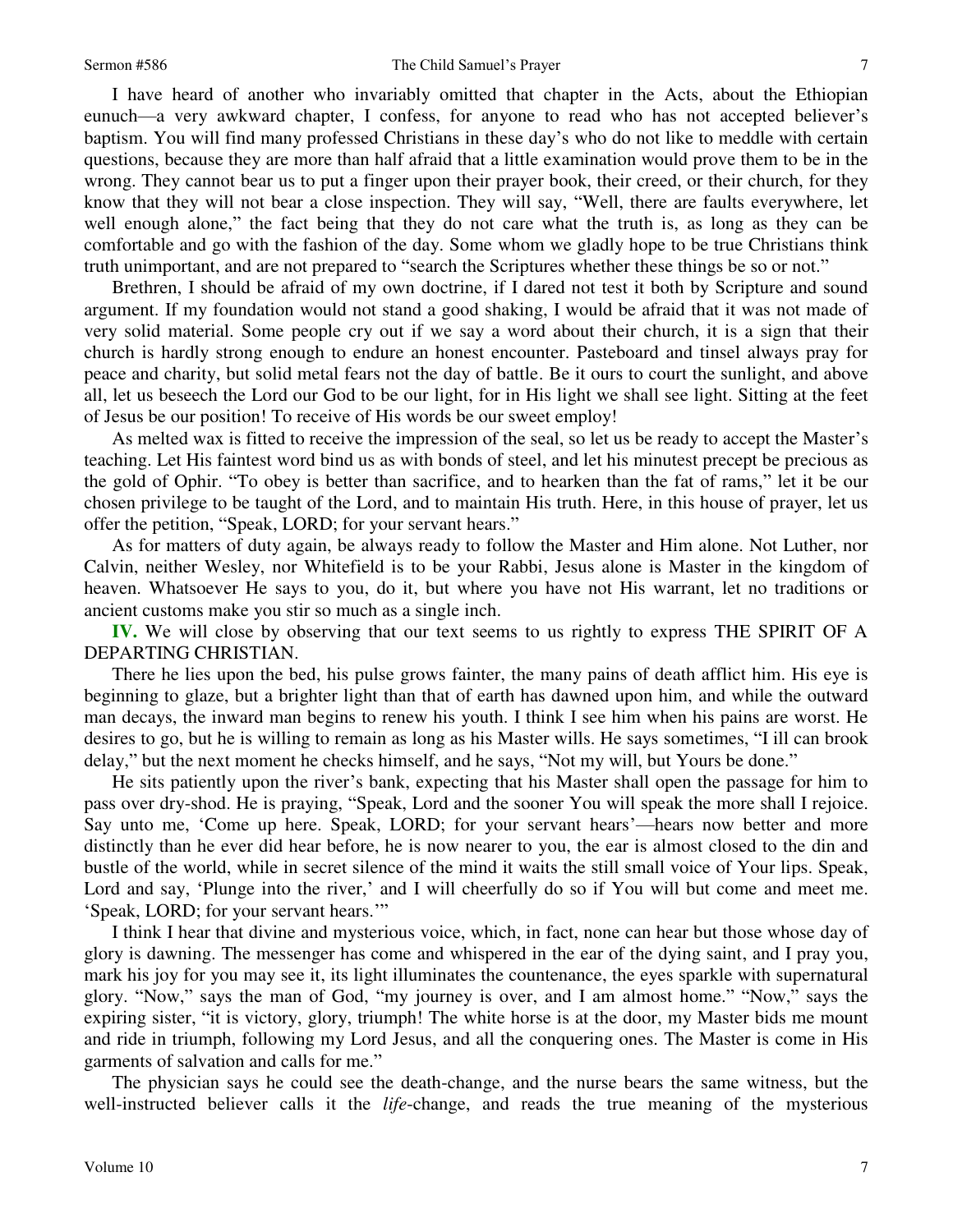### Sermon #586 The Child Samuel's Prayer

I have heard of another who invariably omitted that chapter in the Acts, about the Ethiopian eunuch—a very awkward chapter, I confess, for anyone to read who has not accepted believer's baptism. You will find many professed Christians in these day's who do not like to meddle with certain questions, because they are more than half afraid that a little examination would prove them to be in the wrong. They cannot bear us to put a finger upon their prayer book, their creed, or their church, for they know that they will not bear a close inspection. They will say, "Well, there are faults everywhere, let well enough alone," the fact being that they do not care what the truth is, as long as they can be comfortable and go with the fashion of the day. Some whom we gladly hope to be true Christians think truth unimportant, and are not prepared to "search the Scriptures whether these things be so or not."

Brethren, I should be afraid of my own doctrine, if I dared not test it both by Scripture and sound argument. If my foundation would not stand a good shaking, I would be afraid that it was not made of very solid material. Some people cry out if we say a word about their church, it is a sign that their church is hardly strong enough to endure an honest encounter. Pasteboard and tinsel always pray for peace and charity, but solid metal fears not the day of battle. Be it ours to court the sunlight, and above all, let us beseech the Lord our God to be our light, for in His light we shall see light. Sitting at the feet of Jesus be our position! To receive of His words be our sweet employ!

As melted wax is fitted to receive the impression of the seal, so let us be ready to accept the Master's teaching. Let His faintest word bind us as with bonds of steel, and let his minutest precept be precious as the gold of Ophir. "To obey is better than sacrifice, and to hearken than the fat of rams," let it be our chosen privilege to be taught of the Lord, and to maintain His truth. Here, in this house of prayer, let us offer the petition, "Speak, LORD; for your servant hears."

As for matters of duty again, be always ready to follow the Master and Him alone. Not Luther, nor Calvin, neither Wesley, nor Whitefield is to be your Rabbi, Jesus alone is Master in the kingdom of heaven. Whatsoever He says to you, do it, but where you have not His warrant, let no traditions or ancient customs make you stir so much as a single inch.

**IV.** We will close by observing that our text seems to us rightly to express THE SPIRIT OF A DEPARTING CHRISTIAN.

There he lies upon the bed, his pulse grows fainter, the many pains of death afflict him. His eye is beginning to glaze, but a brighter light than that of earth has dawned upon him, and while the outward man decays, the inward man begins to renew his youth. I think I see him when his pains are worst. He desires to go, but he is willing to remain as long as his Master wills. He says sometimes, "I ill can brook delay," but the next moment he checks himself, and he says, "Not my will, but Yours be done."

He sits patiently upon the river's bank, expecting that his Master shall open the passage for him to pass over dry-shod. He is praying, "Speak, Lord and the sooner You will speak the more shall I rejoice. Say unto me, 'Come up here. Speak, LORD; for your servant hears'—hears now better and more distinctly than he ever did hear before, he is now nearer to you, the ear is almost closed to the din and bustle of the world, while in secret silence of the mind it waits the still small voice of Your lips. Speak, Lord and say, 'Plunge into the river,' and I will cheerfully do so if You will but come and meet me. 'Speak, LORD; for your servant hears.'"

I think I hear that divine and mysterious voice, which, in fact, none can hear but those whose day of glory is dawning. The messenger has come and whispered in the ear of the dying saint, and I pray you, mark his joy for you may see it, its light illuminates the countenance, the eyes sparkle with supernatural glory. "Now," says the man of God, "my journey is over, and I am almost home." "Now," says the expiring sister, "it is victory, glory, triumph! The white horse is at the door, my Master bids me mount and ride in triumph, following my Lord Jesus, and all the conquering ones. The Master is come in His garments of salvation and calls for me."

The physician says he could see the death-change, and the nurse bears the same witness, but the well-instructed believer calls it the *life*-change, and reads the true meaning of the mysterious